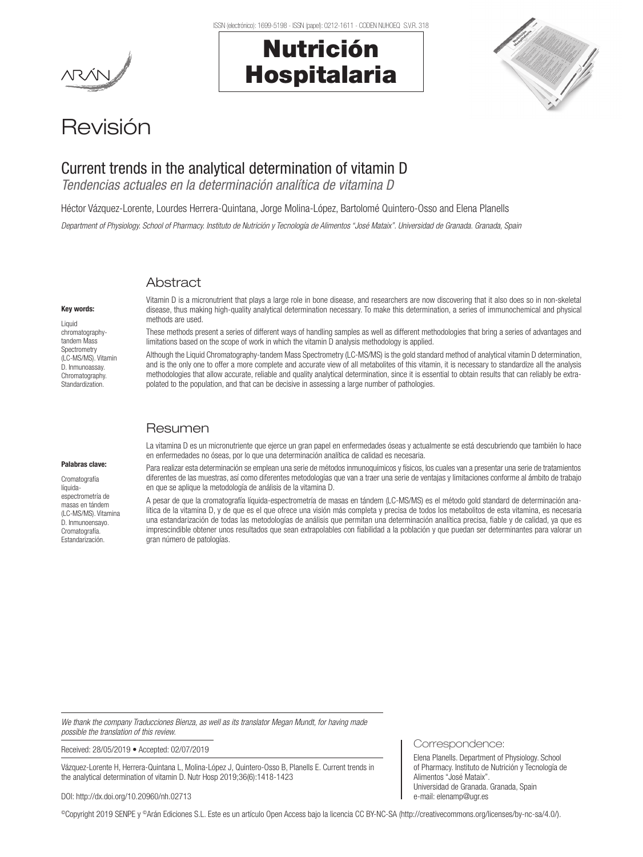ISSN (electrónico): 1699-5198 - ISSN (papel): 0212-1611 - CODEN NUHOEQ S.V.R. 318

# Nutrición Hospitalaria



## Revisión

### Current trends in the analytical determination of vitamin D

*Tendencias actuales en la determinación analítica de vitamina D*

Héctor Vázquez-Lorente, Lourdes Herrera-Quintana, Jorge Molina-López, Bartolomé Quintero-Osso and Elena Planells

*Department of Physiology. School of Pharmacy. Instituto de Nutrición y Tecnología de Alimentos "José Mataix". Universidad de Granada. Granada, Spain*

#### **Abstract**

Key words:

Liquid chromatographytandem Mass **Spectrometry** (LC-MS/MS). Vitamin D. Inmunoassay. Chromatography. Standardization.

Palabras clave: Cromatografía líquidaespectrometría de masas en tándem (LC-MS/MS). Vitamina D. Inmunoensayo. Cromatografía. Estandarización.

Vitamin D is a micronutrient that plays a large role in bone disease, and researchers are now discovering that it also does so in non-skeletal disease, thus making high-quality analytical determination necessary. To make this determination, a series of immunochemical and physical methods are used.

These methods present a series of different ways of handling samples as well as different methodologies that bring a series of advantages and limitations based on the scope of work in which the vitamin D analysis methodology is applied.

Although the Liquid Chromatography-tandem Mass Spectrometry (LC-MS/MS) is the gold standard method of analytical vitamin D determination, and is the only one to offer a more complete and accurate view of all metabolites of this vitamin, it is necessary to standardize all the analysis methodologies that allow accurate, reliable and quality analytical determination, since it is essential to obtain results that can reliably be extrapolated to the population, and that can be decisive in assessing a large number of pathologies.

#### Resumen

#### La vitamina D es un micronutriente que ejerce un gran papel en enfermedades óseas y actualmente se está descubriendo que también lo hace en enfermedades no óseas, por lo que una determinación analítica de calidad es necesaria.

Para realizar esta determinación se emplean una serie de métodos inmunoquímicos y físicos, los cuales van a presentar una serie de tratamientos diferentes de las muestras, así como diferentes metodologías que van a traer una serie de ventajas y limitaciones conforme al ámbito de trabajo en que se aplique la metodología de análisis de la vitamina D.

A pesar de que la cromatografía líquida-espectrometría de masas en tándem (LC-MS/MS) es el método gold standard de determinación analítica de la vitamina D, y de que es el que ofrece una visión más completa y precisa de todos los metabolitos de esta vitamina, es necesaria una estandarización de todas las metodologías de análisis que permitan una determinación analítica precisa, fiable y de calidad, ya que es imprescindible obtener unos resultados que sean extrapolables con fiabilidad a la población y que puedan ser determinantes para valorar un gran número de patologías.

*We thank the company Traducciones Bienza, as well as its translator Megan Mundt, for having made possible the translation of this review.*

Received: 28/05/2019 • Accepted: 02/07/2019

Vázquez-Lorente H, Herrera-Quintana L, Molina-López J, Quintero-Osso B, Planells E. Current trends in the analytical determination of vitamin D. Nutr Hosp 2019;36(6):1418-1423

#### DOI: http://dx.doi.org/10.20960/nh.02713

©Copyright 2019 SENPE y ©Arán Ediciones S.L. Este es un artículo Open Access bajo la licencia CC BY-NC-SA (http://creativecommons.org/licenses/by-nc-sa/4.0/).

Correspondence:

Elena Planells. Department of Physiology. School of Pharmacy. Instituto de Nutrición y Tecnología de Alimentos "José Mataix". Universidad de Granada. Granada, Spain e-mail: elenamp@ugr.es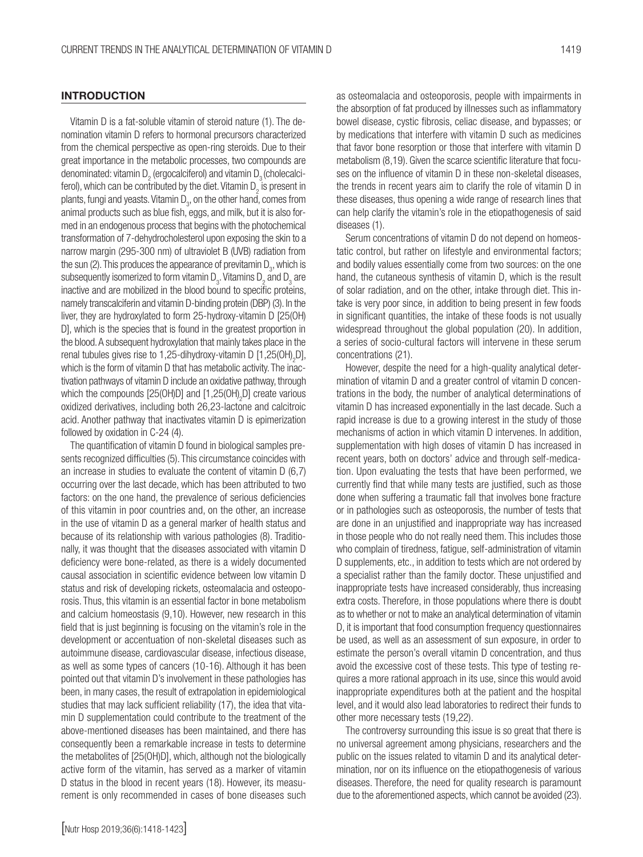#### **INTRODUCTION**

Vitamin D is a fat-soluble vitamin of steroid nature (1). The denomination vitamin D refers to hormonal precursors characterized from the chemical perspective as open-ring steroids. Due to their great importance in the metabolic processes, two compounds are denominated: vitamin D $_{\rm 2}$  (ergocalciferol) and vitamin D $_{\rm 3}$ (cholecalciferol), which can be contributed by the diet. Vitamin D<sub>2</sub> is present in plants, fungi and yeasts. Vitamin  $\mathsf{D}_{\mathsf{3}^\flat}$  on the other hand, comes from animal products such as blue fish, eggs, and milk, but it is also formed in an endogenous process that begins with the photochemical transformation of 7-dehydrocholesterol upon exposing the skin to a narrow margin (295-300 nm) of ultraviolet B (UVB) radiation from the sun (2). This produces the appearance of previtamin  $\mathsf{D}_{_{\!3\!}},$  which is subsequently isomerized to form vitamin  $\mathsf{D}_{\mathsf{3}}.$  Vitamins  $\mathsf{D}_{\mathsf{2}}$  and  $\mathsf{D}_{\mathsf{3}}$  are inactive and are mobilized in the blood bound to specific proteins, namely transcalciferin and vitamin D-binding protein (DBP) (3). In the liver, they are hydroxylated to form 25-hydroxy-vitamin D [25(OH) D], which is the species that is found in the greatest proportion in the blood. A subsequent hydroxylation that mainly takes place in the renal tubules gives rise to 1,25-dihydroxy-vitamin D [1,25(OH)<sub>2</sub>D], which is the form of vitamin D that has metabolic activity. The inactivation pathways of vitamin D include an oxidative pathway, through which the compounds [25(OH)D] and [1,25(OH)<sub>2</sub>D] create various oxidized derivatives, including both 26,23-lactone and calcitroic acid. Another pathway that inactivates vitamin D is epimerization followed by oxidation in C-24 (4).

The quantification of vitamin D found in biological samples presents recognized difficulties (5). This circumstance coincides with an increase in studies to evaluate the content of vitamin D (6,7) occurring over the last decade, which has been attributed to two factors: on the one hand, the prevalence of serious deficiencies of this vitamin in poor countries and, on the other, an increase in the use of vitamin D as a general marker of health status and because of its relationship with various pathologies (8). Traditionally, it was thought that the diseases associated with vitamin D deficiency were bone-related, as there is a widely documented causal association in scientific evidence between low vitamin D status and risk of developing rickets, osteomalacia and osteoporosis. Thus, this vitamin is an essential factor in bone metabolism and calcium homeostasis (9,10). However, new research in this field that is just beginning is focusing on the vitamin's role in the development or accentuation of non-skeletal diseases such as autoimmune disease, cardiovascular disease, infectious disease, as well as some types of cancers (10-16). Although it has been pointed out that vitamin D's involvement in these pathologies has been, in many cases, the result of extrapolation in epidemiological studies that may lack sufficient reliability (17), the idea that vitamin D supplementation could contribute to the treatment of the above-mentioned diseases has been maintained, and there has consequently been a remarkable increase in tests to determine the metabolites of [25(OH)D], which, although not the biologically active form of the vitamin, has served as a marker of vitamin D status in the blood in recent years (18). However, its measurement is only recommended in cases of bone diseases such

[Nutr Hosp 2019;36(6):1418-1423]

as osteomalacia and osteoporosis, people with impairments in the absorption of fat produced by illnesses such as inflammatory bowel disease, cystic fibrosis, celiac disease, and bypasses; or by medications that interfere with vitamin D such as medicines that favor bone resorption or those that interfere with vitamin D metabolism (8,19). Given the scarce scientific literature that focuses on the influence of vitamin D in these non-skeletal diseases, the trends in recent years aim to clarify the role of vitamin D in these diseases, thus opening a wide range of research lines that can help clarify the vitamin's role in the etiopathogenesis of said diseases (1).

Serum concentrations of vitamin D do not depend on homeostatic control, but rather on lifestyle and environmental factors; and bodily values essentially come from two sources: on the one hand, the cutaneous synthesis of vitamin D, which is the result of solar radiation, and on the other, intake through diet. This intake is very poor since, in addition to being present in few foods in significant quantities, the intake of these foods is not usually widespread throughout the global population (20). In addition, a series of socio-cultural factors will intervene in these serum concentrations (21).

However, despite the need for a high-quality analytical determination of vitamin D and a greater control of vitamin D concentrations in the body, the number of analytical determinations of vitamin D has increased exponentially in the last decade. Such a rapid increase is due to a growing interest in the study of those mechanisms of action in which vitamin D intervenes. In addition, supplementation with high doses of vitamin D has increased in recent years, both on doctors' advice and through self-medication. Upon evaluating the tests that have been performed, we currently find that while many tests are justified, such as those done when suffering a traumatic fall that involves bone fracture or in pathologies such as osteoporosis, the number of tests that are done in an unjustified and inappropriate way has increased in those people who do not really need them. This includes those who complain of tiredness, fatigue, self-administration of vitamin D supplements, etc., in addition to tests which are not ordered by a specialist rather than the family doctor. These unjustified and inappropriate tests have increased considerably, thus increasing extra costs. Therefore, in those populations where there is doubt as to whether or not to make an analytical determination of vitamin D, it is important that food consumption frequency questionnaires be used, as well as an assessment of sun exposure, in order to estimate the person's overall vitamin D concentration, and thus avoid the excessive cost of these tests. This type of testing requires a more rational approach in its use, since this would avoid inappropriate expenditures both at the patient and the hospital level, and it would also lead laboratories to redirect their funds to other more necessary tests (19,22).

The controversy surrounding this issue is so great that there is no universal agreement among physicians, researchers and the public on the issues related to vitamin D and its analytical determination, nor on its influence on the etiopathogenesis of various diseases. Therefore, the need for quality research is paramount due to the aforementioned aspects, which cannot be avoided (23).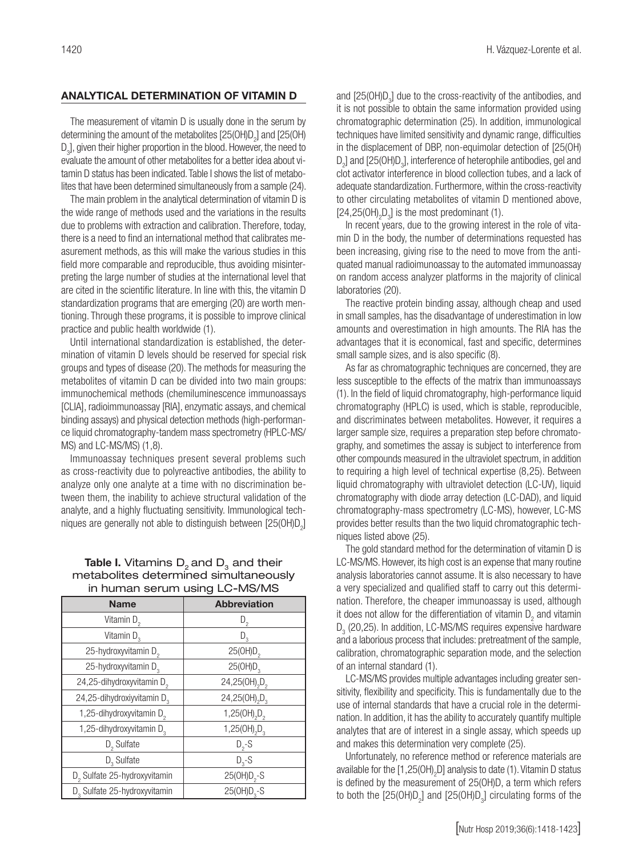#### ANALYTICAL DETERMINATION OF VITAMIN D

The measurement of vitamin D is usually done in the serum by determining the amount of the metabolites [25(OH)D<sub>2</sub>] and [25(OH)  $\mathsf{D}_3$ ], given their higher proportion in the blood. However, the need to evaluate the amount of other metabolites for a better idea about vitamin D status has been indicated. Table I shows the list of metabolites that have been determined simultaneously from a sample (24).

The main problem in the analytical determination of vitamin D is the wide range of methods used and the variations in the results due to problems with extraction and calibration. Therefore, today, there is a need to find an international method that calibrates measurement methods, as this will make the various studies in this field more comparable and reproducible, thus avoiding misinterpreting the large number of studies at the international level that are cited in the scientific literature. In line with this, the vitamin D standardization programs that are emerging (20) are worth mentioning. Through these programs, it is possible to improve clinical practice and public health worldwide (1).

Until international standardization is established, the determination of vitamin D levels should be reserved for special risk groups and types of disease (20). The methods for measuring the metabolites of vitamin D can be divided into two main groups: immunochemical methods (chemiluminescence immunoassays [CLIA], radioimmunoassay [RIA], enzymatic assays, and chemical binding assays) and physical detection methods (high-performance liquid chromatography-tandem mass spectrometry (HPLC-MS/ MS) and LC-MS/MS) (1,8).

Immunoassay techniques present several problems such as cross-reactivity due to polyreactive antibodies, the ability to analyze only one analyte at a time with no discrimination between them, the inability to achieve structural validation of the analyte, and a highly fluctuating sensitivity. Immunological techniques are generally not able to distinguish between [25(OH)D<sub>2</sub>]

#### **Table I.** Vitamins  $D_2$  and  $D_3$  and their metabolites determined simultaneously in human serum using LC-MS/MS

| <b>Name</b>                              | <b>Abbreviation</b>                   |
|------------------------------------------|---------------------------------------|
| Vitamin $D_2$                            | D,                                    |
| Vitamin D <sub>3</sub>                   | $D_{\alpha}$                          |
| 25-hydroxyvitamin D <sub>2</sub>         | 25(OH)D <sub>2</sub>                  |
| 25-hydroxyvitamin D <sub>3</sub>         | 25(OH)D <sub>3</sub>                  |
| 24,25-dihydroxyvitamin D <sub>2</sub>    | 24,25(OH) <sub>2</sub> D <sub>2</sub> |
| 24,25-dihydroxiyvitamin D <sub>3</sub>   | 24,25(OH),D,                          |
| 1,25-dihydroxyvitamin D <sub>2</sub>     | 1,25(OH),D,                           |
| 1,25-dihydroxyvitamin D <sub>3</sub>     | 1,25(OH) <sub>2</sub> $D_3$           |
| $D_5$ Sulfate                            | $D_2-S$                               |
| $D3$ Sulfate                             | $D_{3} - S$                           |
| D <sub>2</sub> Sulfate 25-hydroxyvitamin | 25(OH)D <sub>2</sub> -S               |
| D <sub>3</sub> Sulfate 25-hydroxyvitamin | $25(OH)D3-S$                          |

and  $[25(OH)D<sub>3</sub>]$  due to the cross-reactivity of the antibodies, and it is not possible to obtain the same information provided using chromatographic determination (25). In addition, immunological techniques have limited sensitivity and dynamic range, difficulties in the displacement of DBP, non-equimolar detection of [25(OH)  $D_2$ ] and [25(OH) $D_3$ ], interference of heterophile antibodies, gel and clot activator interference in blood collection tubes, and a lack of adequate standardization. Furthermore, within the cross-reactivity to other circulating metabolites of vitamin D mentioned above,  $[24,25(OH)_{2}D_{3}]$  is the most predominant (1).

In recent years, due to the growing interest in the role of vitamin D in the body, the number of determinations requested has been increasing, giving rise to the need to move from the antiquated manual radioimunoassay to the automated immunoassay on random access analyzer platforms in the majority of clinical laboratories (20).

The reactive protein binding assay, although cheap and used in small samples, has the disadvantage of underestimation in low amounts and overestimation in high amounts. The RIA has the advantages that it is economical, fast and specific, determines small sample sizes, and is also specific (8).

As far as chromatographic techniques are concerned, they are less susceptible to the effects of the matrix than immunoassays (1). In the field of liquid chromatography, high-performance liquid chromatography (HPLC) is used, which is stable, reproducible, and discriminates between metabolites. However, it requires a larger sample size, requires a preparation step before chromatography, and sometimes the assay is subject to interference from other compounds measured in the ultraviolet spectrum, in addition to requiring a high level of technical expertise (8,25). Between liquid chromatography with ultraviolet detection (LC-UV), liquid chromatography with diode array detection (LC-DAD), and liquid chromatography-mass spectrometry (LC-MS), however, LC-MS provides better results than the two liquid chromatographic techniques listed above (25).

The gold standard method for the determination of vitamin D is LC-MS/MS. However, its high cost is an expense that many routine analysis laboratories cannot assume. It is also necessary to have a very specialized and qualified staff to carry out this determination. Therefore, the cheaper immunoassay is used, although it does not allow for the differentiation of vitamin  $D_2$  and vitamin  $D_3$  (20,25). In addition, LC-MS/MS requires expensive hardware and a laborious process that includes: pretreatment of the sample, calibration, chromatographic separation mode, and the selection of an internal standard (1).

LC-MS/MS provides multiple advantages including greater sensitivity, flexibility and specificity. This is fundamentally due to the use of internal standards that have a crucial role in the determination. In addition, it has the ability to accurately quantify multiple analytes that are of interest in a single assay, which speeds up and makes this determination very complete (25).

Unfortunately, no reference method or reference materials are available for the  $[1,25(OH)_2D]$  analysis to date (1). Vitamin D status is defined by the measurement of 25(OH)D, a term which refers to both the  $[25(OH)D_2]$  and  $[25(OH)D_3]$  circulating forms of the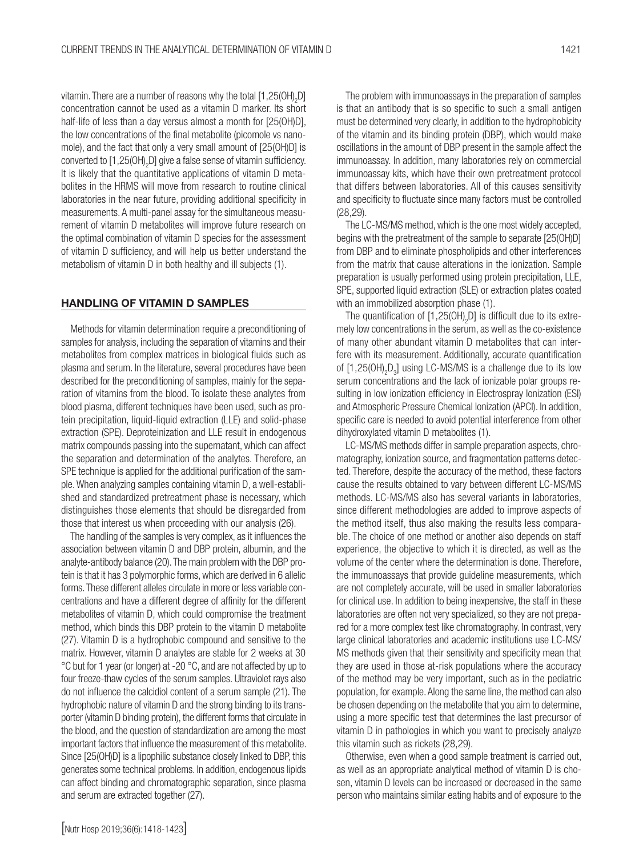vitamin. There are a number of reasons why the total [1,25(OH)<sub>2</sub>D] concentration cannot be used as a vitamin D marker. Its short half-life of less than a day versus almost a month for [25(OH)D], the low concentrations of the final metabolite (picomole vs nanomole), and the fact that only a very small amount of [25(OH)D] is converted to [1,25(OH)<sub>2</sub>D] give a false sense of vitamin sufficiency. It is likely that the quantitative applications of vitamin D metabolites in the HRMS will move from research to routine clinical laboratories in the near future, providing additional specificity in measurements. A multi-panel assay for the simultaneous measurement of vitamin D metabolites will improve future research on the optimal combination of vitamin D species for the assessment of vitamin D sufficiency, and will help us better understand the metabolism of vitamin D in both healthy and ill subjects (1).

#### HANDLING OF VITAMIN D SAMPLES

Methods for vitamin determination require a preconditioning of samples for analysis, including the separation of vitamins and their metabolites from complex matrices in biological fluids such as plasma and serum. In the literature, several procedures have been described for the preconditioning of samples, mainly for the separation of vitamins from the blood. To isolate these analytes from blood plasma, different techniques have been used, such as protein precipitation, liquid-liquid extraction (LLE) and solid-phase extraction (SPE). Deproteinization and LLE result in endogenous matrix compounds passing into the supernatant, which can affect the separation and determination of the analytes. Therefore, an SPE technique is applied for the additional purification of the sample. When analyzing samples containing vitamin D, a well-established and standardized pretreatment phase is necessary, which distinguishes those elements that should be disregarded from those that interest us when proceeding with our analysis (26).

The handling of the samples is very complex, as it influences the association between vitamin D and DBP protein, albumin, and the analyte-antibody balance (20). The main problem with the DBP protein is that it has 3 polymorphic forms, which are derived in 6 allelic forms. These different alleles circulate in more or less variable concentrations and have a different degree of affinity for the different metabolites of vitamin D, which could compromise the treatment method, which binds this DBP protein to the vitamin D metabolite (27). Vitamin D is a hydrophobic compound and sensitive to the matrix. However, vitamin D analytes are stable for 2 weeks at 30 °C but for 1 year (or longer) at -20 °C, and are not affected by up to four freeze-thaw cycles of the serum samples. Ultraviolet rays also do not influence the calcidiol content of a serum sample (21). The hydrophobic nature of vitamin D and the strong binding to its transporter (vitamin D binding protein), the different forms that circulate in the blood, and the question of standardization are among the most important factors that influence the measurement of this metabolite. Since [25(OH)D] is a lipophilic substance closely linked to DBP, this generates some technical problems. In addition, endogenous lipids can affect binding and chromatographic separation, since plasma and serum are extracted together (27).

The problem with immunoassays in the preparation of samples is that an antibody that is so specific to such a small antigen must be determined very clearly, in addition to the hydrophobicity of the vitamin and its binding protein (DBP), which would make oscillations in the amount of DBP present in the sample affect the immunoassay. In addition, many laboratories rely on commercial immunoassay kits, which have their own pretreatment protocol that differs between laboratories. All of this causes sensitivity and specificity to fluctuate since many factors must be controlled (28,29).

The LC-MS/MS method, which is the one most widely accepted, begins with the pretreatment of the sample to separate [25(OH)D] from DBP and to eliminate phospholipids and other interferences from the matrix that cause alterations in the ionization. Sample preparation is usually performed using protein precipitation, LLE, SPE, supported liquid extraction (SLE) or extraction plates coated with an immobilized absorption phase (1).

The quantification of  $[1,25(OH)_2D]$  is difficult due to its extremely low concentrations in the serum, as well as the co-existence of many other abundant vitamin D metabolites that can interfere with its measurement. Additionally, accurate quantification of  $[1,25(OH)_{2}D_{3}]$  using LC-MS/MS is a challenge due to its low serum concentrations and the lack of ionizable polar groups resulting in low ionization efficiency in Electrospray Ionization (ESI) and Atmospheric Pressure Chemical Ionization (APCI). In addition, specific care is needed to avoid potential interference from other dihydroxylated vitamin D metabolites (1).

LC-MS/MS methods differ in sample preparation aspects, chromatography, ionization source, and fragmentation patterns detected. Therefore, despite the accuracy of the method, these factors cause the results obtained to vary between different LC-MS/MS methods. LC-MS/MS also has several variants in laboratories, since different methodologies are added to improve aspects of the method itself, thus also making the results less comparable. The choice of one method or another also depends on staff experience, the objective to which it is directed, as well as the volume of the center where the determination is done. Therefore, the immunoassays that provide guideline measurements, which are not completely accurate, will be used in smaller laboratories for clinical use. In addition to being inexpensive, the staff in these laboratories are often not very specialized, so they are not prepared for a more complex test like chromatography. In contrast, very large clinical laboratories and academic institutions use LC-MS/ MS methods given that their sensitivity and specificity mean that they are used in those at-risk populations where the accuracy of the method may be very important, such as in the pediatric population, for example. Along the same line, the method can also be chosen depending on the metabolite that you aim to determine, using a more specific test that determines the last precursor of vitamin D in pathologies in which you want to precisely analyze this vitamin such as rickets (28,29).

Otherwise, even when a good sample treatment is carried out, as well as an appropriate analytical method of vitamin D is chosen, vitamin D levels can be increased or decreased in the same person who maintains similar eating habits and of exposure to the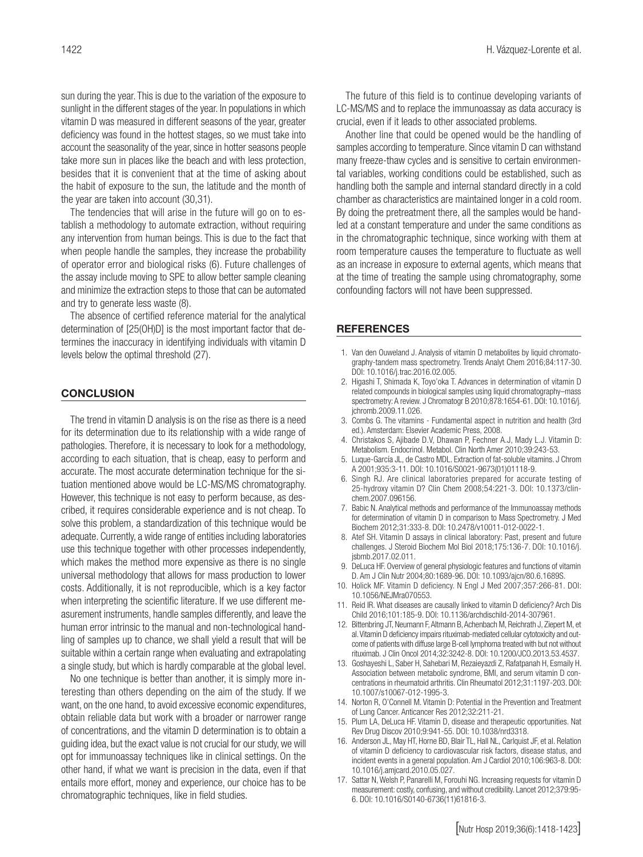sun during the year. This is due to the variation of the exposure to sunlight in the different stages of the year. In populations in which vitamin D was measured in different seasons of the year, greater deficiency was found in the hottest stages, so we must take into account the seasonality of the year, since in hotter seasons people take more sun in places like the beach and with less protection, besides that it is convenient that at the time of asking about the habit of exposure to the sun, the latitude and the month of the year are taken into account (30,31).

The tendencies that will arise in the future will go on to establish a methodology to automate extraction, without requiring any intervention from human beings. This is due to the fact that when people handle the samples, they increase the probability of operator error and biological risks (6). Future challenges of the assay include moving to SPE to allow better sample cleaning and minimize the extraction steps to those that can be automated and try to generate less waste (8).

The absence of certified reference material for the analytical determination of [25(OH)D] is the most important factor that determines the inaccuracy in identifying individuals with vitamin D levels below the optimal threshold (27).

#### **CONCLUSION**

The trend in vitamin D analysis is on the rise as there is a need for its determination due to its relationship with a wide range of pathologies. Therefore, it is necessary to look for a methodology, according to each situation, that is cheap, easy to perform and accurate. The most accurate determination technique for the situation mentioned above would be LC-MS/MS chromatography. However, this technique is not easy to perform because, as described, it requires considerable experience and is not cheap. To solve this problem, a standardization of this technique would be adequate. Currently, a wide range of entities including laboratories use this technique together with other processes independently, which makes the method more expensive as there is no single universal methodology that allows for mass production to lower costs. Additionally, it is not reproducible, which is a key factor when interpreting the scientific literature. If we use different measurement instruments, handle samples differently, and leave the human error intrinsic to the manual and non-technological handling of samples up to chance, we shall yield a result that will be suitable within a certain range when evaluating and extrapolating a single study, but which is hardly comparable at the global level.

No one technique is better than another, it is simply more interesting than others depending on the aim of the study. If we want, on the one hand, to avoid excessive economic expenditures, obtain reliable data but work with a broader or narrower range of concentrations, and the vitamin D determination is to obtain a guiding idea, but the exact value is not crucial for our study, we will opt for immunoassay techniques like in clinical settings. On the other hand, if what we want is precision in the data, even if that entails more effort, money and experience, our choice has to be chromatographic techniques, like in field studies.

The future of this field is to continue developing variants of LC-MS/MS and to replace the immunoassay as data accuracy is crucial, even if it leads to other associated problems.

Another line that could be opened would be the handling of samples according to temperature. Since vitamin D can withstand many freeze-thaw cycles and is sensitive to certain environmental variables, working conditions could be established, such as handling both the sample and internal standard directly in a cold chamber as characteristics are maintained longer in a cold room. By doing the pretreatment there, all the samples would be handled at a constant temperature and under the same conditions as in the chromatographic technique, since working with them at room temperature causes the temperature to fluctuate as well as an increase in exposure to external agents, which means that at the time of treating the sample using chromatography, some confounding factors will not have been suppressed.

#### **REFERENCES**

- 1. Van den Ouweland J. Analysis of vitamin D metabolites by liquid chromatography-tandem mass spectrometry. Trends Analyt Chem 2016;84:117-30. DOI: 10.1016/j.trac.2016.02.005.
- 2. Higashi T, Shimada K, Toyo'oka T. Advances in determination of vitamin D related compounds in biological samples using liquid chromatography–mass spectrometry: A review. J Chromatogr B 2010;878:1654-61. DOI: 10.1016/j. jchromb.2009.11.026.
- 3. Combs G. The vitamins Fundamental aspect in nutrition and health (3rd ed.). Amsterdam: Elsevier Academic Press, 2008.
- 4. Christakos S, Ajibade D.V, Dhawan P, Fechner A.J, Mady L.J. Vitamin D: Metabolism. Endocrinol. Metabol. Clin North Amer 2010;39:243-53.
- 5. Luque-García JL, de Castro MDL. Extraction of fat-soluble vitamins. J Chrom A 2001;935:3-11. DOI: 10.1016/S0021-9673(01)01118-9.
- 6. Singh RJ. Are clinical laboratories prepared for accurate testing of 25-hydroxy vitamin D? Clin Chem 2008;54:221-3. DOI: 10.1373/clinchem.2007.096156.
- 7. Babic N. Analytical methods and performance of the Immunoassay methods for determination of vitamin D in comparison to Mass Spectrometry. J Med Biochem 2012;31:333-8. DOI: 10.2478/v10011-012-0022-1.
- 8. Atef SH. Vitamin D assays in clinical laboratory: Past, present and future challenges. J Steroid Biochem Mol Biol 2018;175:136-7. DOI: 10.1016/j. jsbmb.2017.02.011.
- 9. DeLuca HF. Overview of general physiologic features and functions of vitamin D. Am J Clin Nutr 2004;80:1689-96. DOI: 10.1093/ajcn/80.6.1689S.
- 10. Holick MF. Vitamin D deficiency. N Engl J Med 2007;357:266-81. DOI: 10.1056/NEJMra070553.
- 11. Reid IR. What diseases are causally linked to vitamin D deficiency? Arch Dis Child 2016;101:185-9. DOI: 10.1136/archdischild-2014-307961.
- 12. Bittenbring JT, Neumann F, Altmann B, Achenbach M, Reichrath J, Ziepert M, et al. Vitamin D deficiency impairs rituximab-mediated cellular cytotoxicity and outcome of patients with diffuse large B-cell lymphoma treated with but not without rituximab. J Clin Oncol 2014;32:3242-8. DOI: 10.1200/JCO.2013.53.4537.
- 13. Goshayeshi L, Saber H, Sahebari M, Rezaieyazdi Z, Rafatpanah H, Esmaily H. Association between metabolic syndrome, BMI, and serum vitamin D concentrations in rheumatoid arthritis. Clin Rheumatol 2012;31:1197-203. DOI: 10.1007/s10067-012-1995-3.
- 14. Norton R, O'Connell M. Vitamin D: Potential in the Prevention and Treatment of Lung Cancer. Anticancer Res 2012;32:211-21.
- 15. Plum LA, DeLuca HF. Vitamin D, disease and therapeutic opportunities. Nat Rev Drug Discov 2010;9:941-55. DOI: 10.1038/nrd3318.
- 16. Anderson JL, May HT, Horne BD, Blair TL, Hall NL, Carlquist JF, et al. Relation of vitamin D deficiency to cardiovascular risk factors, disease status, and incident events in a general population. Am J Cardiol 2010;106:963-8. DOI: 10.1016/j.amjcard.2010.05.027.
- 17. Sattar N, Welsh P, Panarelli M, Forouhi NG. Increasing requests for vitamin D measurement: costly, confusing, and without credibility. Lancet 2012;379:95- 6. DOI: 10.1016/S0140-6736(11)61816-3.